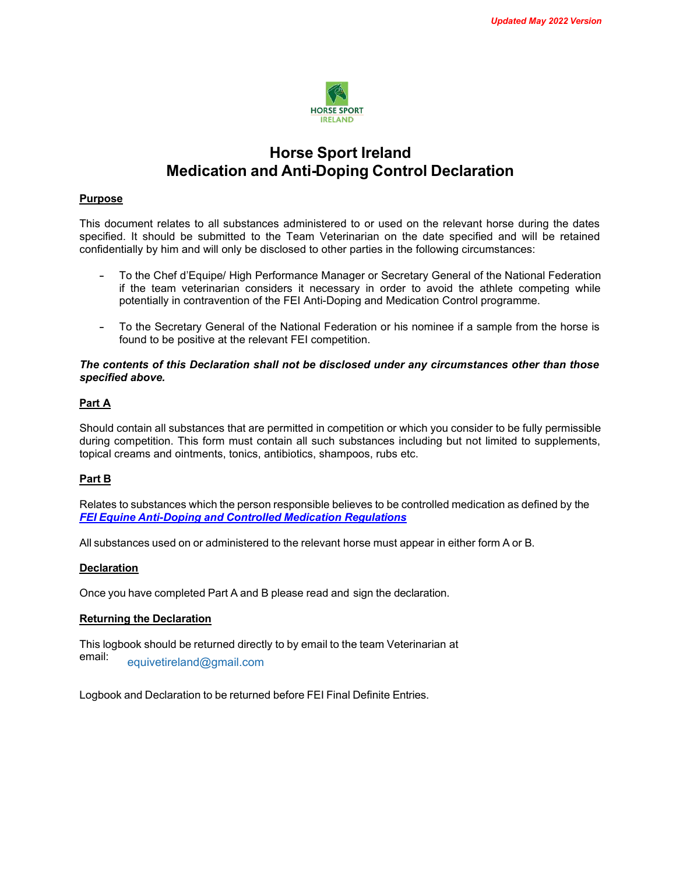

# **Horse Sport Ireland Medication and Anti-Doping Control Declaration**

## **Purpose**

This document relates to all substances administered to or used on the relevant horse during the dates specified. It should be submitted to the Team Veterinarian on the date specified and will be retained confidentially by him and will only be disclosed to other parties in the following circumstances:

- To the Chef d'Equipe/ High Performance Manager or Secretary General of the National Federation if the team veterinarian considers it necessary in order to avoid the athlete competing while potentially in contravention of the FEI Anti-Doping and Medication Control programme.
- To the Secretary General of the National Federation or his nominee if a sample from the horse is found to be positive at the relevant FEI competition.

#### *The contents of this Declaration shall not be disclosed under any circumstances other than those specified above.*

## **Part A**

Should contain all substances that are permitted in competition or which you consider to be fully permissible during competition. This form must contain all such substances including but not limited to supplements, topical creams and ointments, tonics, antibiotics, shampoos, rubs etc.

## **Part B**

Relates to substances which the person responsible believes to be controlled medication as defined by the *FEI Equine Anti-Doping and Controlled Medication Regulations* 

All substances used on or administered to the relevant horse must appear in either form A or B.

## **Declaration**

Once you have completed Part A and B please read and sign the declaration.

## **Returning the Declaration**

This logbook should be returned directly to by email to the team Veterinarian at email: equivetireland@gmail.com

Logbook and Declaration to be returned before FEI Final Definite Entries.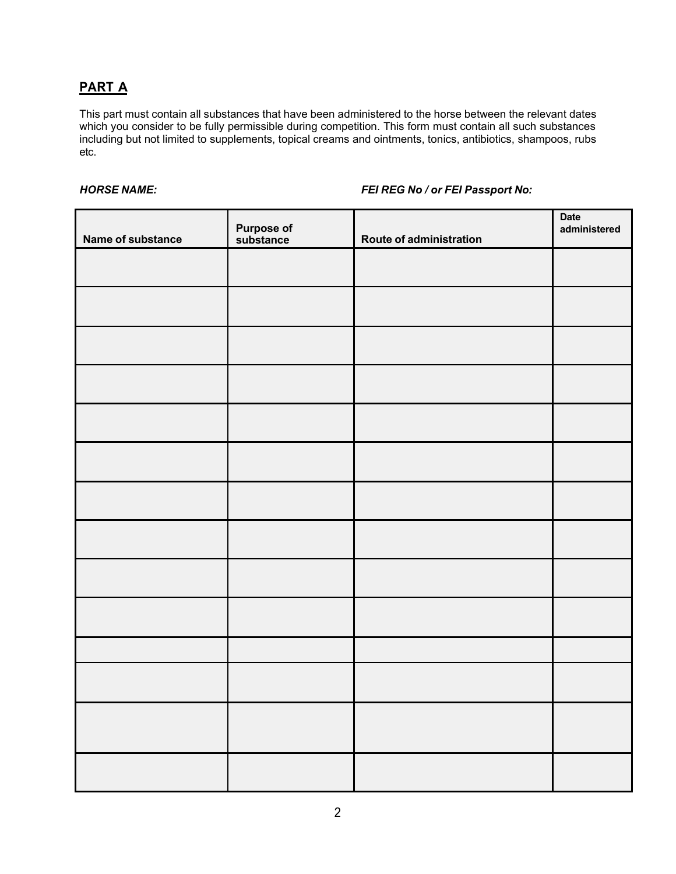# **PART A**

This part must contain all substances that have been administered to the horse between the relevant dates which you consider to be fully permissible during competition. This form must contain all such substances including but not limited to supplements, topical creams and ointments, tonics, antibiotics, shampoos, rubs etc.

## *HORSE NAME: FEI REG No / or FEI Passport No:*

| Name of substance | <b>Purpose of<br/>substance</b> | Route of administration | <b>Date</b><br>administered |
|-------------------|---------------------------------|-------------------------|-----------------------------|
|                   |                                 |                         |                             |
|                   |                                 |                         |                             |
|                   |                                 |                         |                             |
|                   |                                 |                         |                             |
|                   |                                 |                         |                             |
|                   |                                 |                         |                             |
|                   |                                 |                         |                             |
|                   |                                 |                         |                             |
|                   |                                 |                         |                             |
|                   |                                 |                         |                             |
|                   |                                 |                         |                             |
|                   |                                 |                         |                             |
|                   |                                 |                         |                             |
|                   |                                 |                         |                             |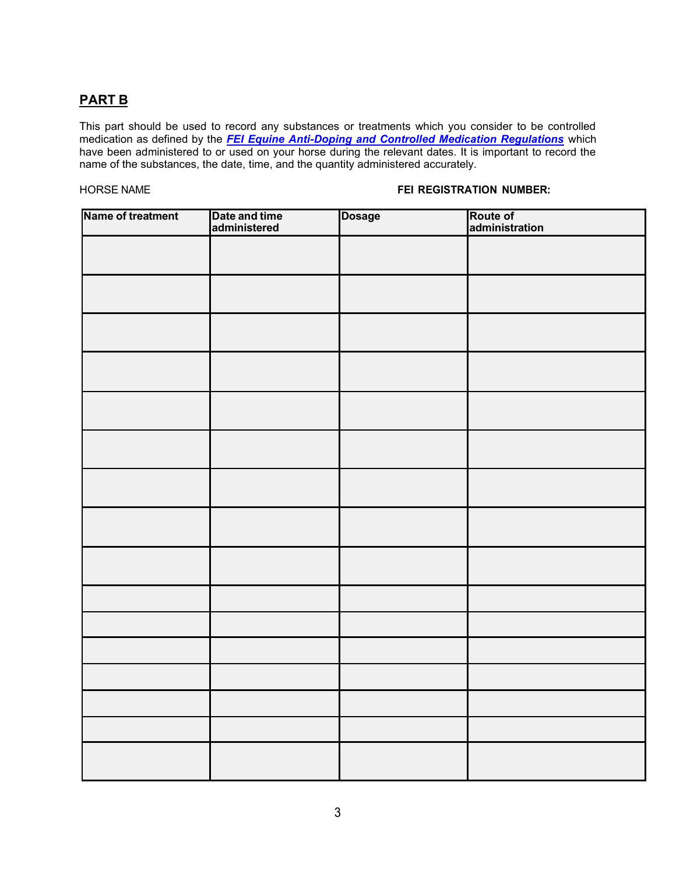## **PART B**

This part should be used to record any substances or treatments which you consider to be controlled medication as defined by the *FEI Equine Anti-Doping and Controlled Medication Regulations* which have been administered to or used on your horse during the relevant dates. It is important to record the name of the substances, the date, time, and the quantity administered accurately.

## HORSE NAME **FEI REGISTRATION NUMBER:**

| <b>Name of treatment</b> | Date and time<br>administered | <b>Dosage</b> | Route of<br>administration |
|--------------------------|-------------------------------|---------------|----------------------------|
|                          |                               |               |                            |
|                          |                               |               |                            |
|                          |                               |               |                            |
|                          |                               |               |                            |
|                          |                               |               |                            |
|                          |                               |               |                            |
|                          |                               |               |                            |
|                          |                               |               |                            |
|                          |                               |               |                            |
|                          |                               |               |                            |
|                          |                               |               |                            |
|                          |                               |               |                            |
|                          |                               |               |                            |
|                          |                               |               |                            |
|                          |                               |               |                            |
|                          |                               |               |                            |
|                          |                               |               |                            |